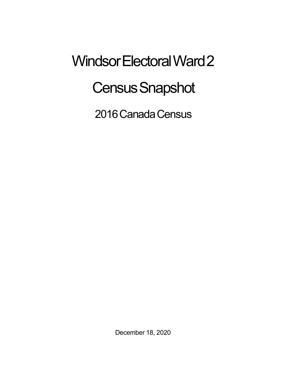## Windsor Electoral Ward 2 **Census Snapshot**

2016 Canada Census

December 18, 2020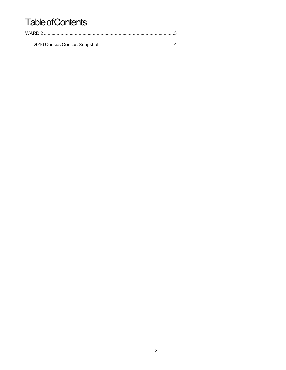## **Table of Contents**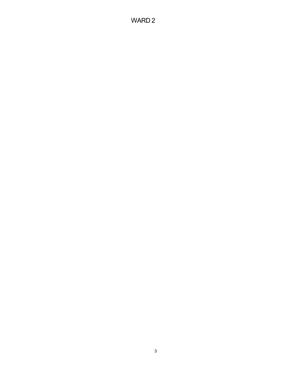## WARD 2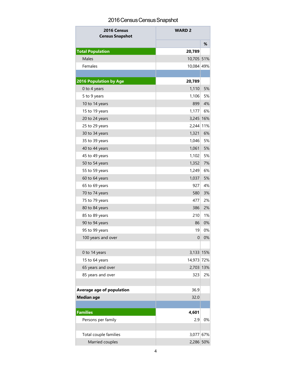## 2016 Census Census Snapshot

| 2016 Census<br><b>Census Snapshot</b> | <b>WARD 2</b>    |    |
|---------------------------------------|------------------|----|
|                                       |                  | %  |
| <b>Total Population</b>               | 20,789           |    |
| Males                                 | 10,705 51%       |    |
| Females                               | 10,084 49%       |    |
|                                       |                  |    |
| <b>2016 Population by Age</b>         | 20,789           |    |
| 0 to 4 years                          | 1,110            | 5% |
| 5 to 9 years                          | 1,106            | 5% |
| 10 to 14 years                        | 899              | 4% |
| 15 to 19 years                        | 1,177            | 6% |
| 20 to 24 years                        | 3,245 16%        |    |
| 25 to 29 years                        | 2,244 11%        |    |
| 30 to 34 years                        | 1,321            | 6% |
| 35 to 39 years                        | 1,046            | 5% |
| 40 to 44 years                        | 1,061            | 5% |
| 45 to 49 years                        | 1,102            | 5% |
| 50 to 54 years                        | 1,352            | 7% |
| 55 to 59 years                        | 1,249            | 6% |
| 60 to 64 years                        | 1,037            | 5% |
| 65 to 69 years                        | 927              | 4% |
| 70 to 74 years                        | 580              | 3% |
| 75 to 79 years                        | 477              | 2% |
| 80 to 84 years                        | 386              | 2% |
| 85 to 89 years                        | 210              | 1% |
| 90 to 94 years                        | 86               | 0% |
| 95 to 99 years                        | 19               | 0% |
| 100 years and over                    | $\boldsymbol{0}$ | 0% |
|                                       |                  |    |
| 0 to 14 years                         | 3,133 15%        |    |
| 15 to 64 years                        | 14,973 72%       |    |
| 65 years and over                     | 2,703 13%        |    |
| 85 years and over                     | 323              | 2% |
|                                       |                  |    |
| Average age of population             | 36.9             |    |
| <b>Median age</b>                     | 32.0             |    |
|                                       |                  |    |
| <b>Families</b>                       | 4,601            |    |
| Persons per family                    | 2.9              | 0% |
| Total couple families                 | 3,077 67%        |    |
| Married couples                       | 2,286 50%        |    |